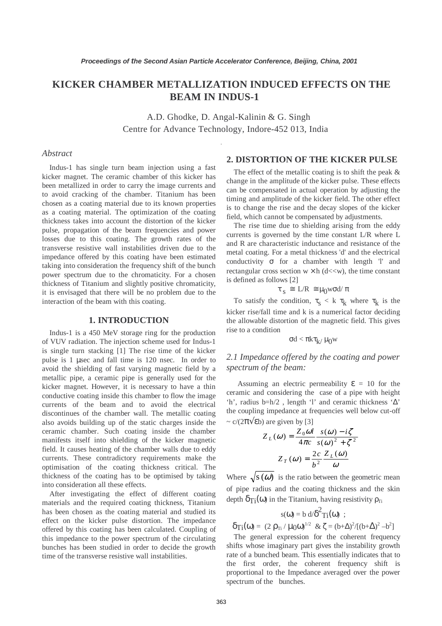# **KICKER CHAMBER METALLIZATION INDUCED EFFECTS ON THE BEAM IN INDUS-1**

A.D. Ghodke, D. Angal-Kalinin & G. Singh Centre for Advance Technology, Indore-452 013, India

#### *Abstract*

Indus-1 has single turn beam injection using a fast kicker magnet. The ceramic chamber of this kicker has been metallized in order to carry the image currents and to avoid cracking of the chamber. Titanium has been chosen as a coating material due to its known properties as a coating material. The optimization of the coating thickness takes into account the distortion of the kicker pulse, propagation of the beam frequencies and power losses due to this coating. The growth rates of the transverse resistive wall instabilities driven due to the impedance offered by this coating have been estimated taking into consideration the frequency shift of the bunch power spectrum due to the chromaticity. For a chosen thickness of Titanium and slightly positive chromaticity, it is envisaged that there will be no problem due to the interaction of the beam with this coating.

### **1. INTRODUCTION**

Indus-1 is a 450 MeV storage ring for the production of VUV radiation. The injection scheme used for Indus-1 is single turn stacking [1] The rise time of the kicker pulse is 1 µsec and fall time is 120 nsec. In order to avoid the shielding of fast varying magnetic field by a metallic pipe, a ceramic pipe is generally used for the kicker magnet. However, it is necessary to have a thin conductive coating inside this chamber to flow the image currents of the beam and to avoid the electrical discontinues of the chamber wall. The metallic coating also avoids building up of the static charges inside the ceramic chamber. Such coating inside the chamber manifests itself into shielding of the kicker magnetic field. It causes heating of the chamber walls due to eddy currents. These contradictory requirements make the optimisation of the coating thickness critical. The thickness of the coating has to be optimised by taking into consideration all these effects.

After investigating the effect of different coating materials and the required coating thickness, Titanium has been chosen as the coating material and studied its effect on the kicker pulse distortion. The impedance offered by this coating has been calculated. Coupling of this impedance to the power spectrum of the circulating bunches has been studied in order to decide the growth time of the transverse resistive wall instabilities.

# **2. DISTORTION OF THE KICKER PULSE**

The effect of the metallic coating is to shift the peak  $\&$ change in the amplitude of the kicker pulse. These effects can be compensated in actual operation by adjusting the timing and amplitude of the kicker field. The other effect is to change the rise and the decay slopes of the kicker field, which cannot be compensated by adjustments.

The rise time due to shielding arising from the eddy currents is governed by the time constant L/R where L and R are characteristic inductance and resistance of the metal coating. For a metal thickness 'd' and the electrical conductivity  $\sigma$  for a chamber with length 'l' and rectangular cross section  $w \times h$  (d<<w), the time constant is defined as follows [2]

$$
\tau_s \ \cong \ L/R \ \cong \mu_0 \text{wod/}\ \pi
$$

To satisfy the condition,  $\tau_s < k \tau_k$  where  $\tau_k$  is the kicker rise/fall time and k is a numerical factor deciding the allowable distortion of the magnetic field. This gives rise to a condition

$$
\sigma d < \pi k \tau_{k}/\,\mu_0 w
$$

# *2.1 Impedance offered by the coating and power spectrum of the beam:*

Assuming an electric permeability  $\epsilon = 10$  for the ceramic and considering the case of a pipe with height 'h', radius b=h/2 , length 'l' and ceramic thickness '∆' the coupling impedance at frequencies well below cut-off  $\sim$  c/(2 $\pi$  $\sqrt{$ eb) are given by [3]

$$
Z_L(\omega) = \frac{Z_0 \omega l}{4\pi c} \frac{s(\omega) - i\zeta}{s(\omega)^2 + \zeta^2}
$$

$$
Z_T(\omega) = \frac{2c}{b^2} \frac{Z_L(\omega)}{\omega}
$$

Where  $\sqrt{s}(\omega)$  is the ratio between the geometric mean of pipe radius and the coating thickness and the skin depth  $\delta_{\text{Ti}}(\omega)$  in the Titanium, having resistivity  $\rho_{\text{Ti}}$ 

$$
s(\omega) = b \ d\delta^2 T_1(\omega) ;
$$
  

$$
\delta_{T_1}(\omega) = (2 \ \rho_{T_1} / \mu_0 \omega)^{1/2} \ \& \ \zeta = (b+\Delta)^2 / [(b+\Delta)^2 - b^2]
$$

The general expression for the coherent frequency shifts whose imaginary part gives the instability growth rate of a bunched beam. This essentially indicates that to the first order, the coherent frequency shift is proportional to the Impedance averaged over the power spectrum of the bunches.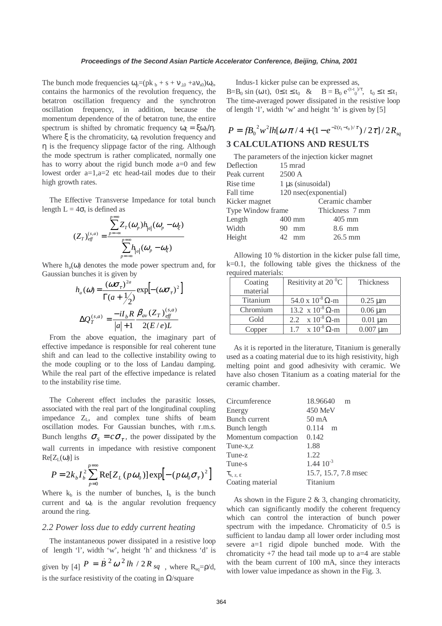The bunch mode frequencies  $\omega_p = (pk_b + s + v_{10} + av_{s0})\omega_b$ , contains the harmonics of the revolution frequency, the betatron oscillation frequency and the synchrotron oscillation frequency, in addition, because the momentum dependence of the of betatron tune, the entire spectrum is shifted by chromatic frequency  $\omega = \xi \omega_0 / \eta$ . Where  $\xi$  is the chromaticity,  $\omega_0$  revolution frequency and η is the frequency slippage factor of the ring. Although the mode spectrum is rather complicated, normally one has to worry about the rigid bunch mode a=0 and few lowest order a=1,a=2 etc head-tail modes due to their high growth rates.

The Effective Transverse Impedance for total bunch length  $L = 4\sigma_s$  is defined as

$$
(Z_T)_{\text{eff}}^{(s,a)} = \frac{\sum_{p=-\infty}^{p=\infty} Z_T(\omega_p) h_{|a|}(\omega_p - \omega_\xi)}{\sum_{p=-\infty}^{p=\infty} h_{|a|}(\omega_p - \omega_\xi)}
$$

Where  $h_a(\omega)$  denotes the mode power spectrum and, for Gaussian bunches it is given by

$$
h_a(\omega) = \frac{(\omega \sigma_\tau)^{2a}}{\Gamma(a + \frac{1}{2})} \exp\left[-(\omega \sigma_\tau)^2\right]
$$

$$
\Delta Q_T^{(s,a)} = \frac{-iI_b R}{|a|+1} \frac{\beta_{av} (Z_T)_{\text{eff}}^{(s,a)}}{2(E/e)L}
$$

From the above equation, the imaginary part of effective impedance is responsible for real coherent tune shift and can lead to the collective instability owing to the mode coupling or to the loss of Landau damping. While the real part of the effective impedance is related to the instability rise time.

The Coherent effect includes the parasitic losses, associated with the real part of the longitudinal coupling impedance  $Z_L$ , and complex tune shifts of beam oscillation modes. For Gaussian bunches, with r.m.s. Bunch lengths  $\sigma_s = c \sigma_{\tau}$ , the power dissipated by the wall currents in impedance with resistive component  $Re[Z<sub>L</sub>(ω)]$  is

$$
P = 2k_b I_b^2 \sum_{p=0}^{p=\infty} \text{Re}[Z_L(p\omega_0)] \exp[-(p\omega_0 \sigma_\tau)^2]
$$

Where  $k_b$  is the number of bunches,  $I_b$  is the bunch current and  $\omega_0$  is the angular revolution frequency around the ring.

#### *2.2 Power loss due to eddy current heating*

The instantaneous power dissipated in a resistive loop of length 'l', width 'w', height 'h' and thickness 'd' is given by [4]  $P = B^2 \omega^2 lh / 2R_{sq}$ , where R<sub>sq</sub>= $\rho/d$ , is the surface resistivity of the coating in  $\Omega$ /square

 Indus-1 kicker pulse can be expressed as,  $B=B_0 \sin (\omega t)$ ,  $0 \le t \le t_0 \& B=B_0 e^{-(t-t_0)/\tau}$ ,  $t_0 \le t \le t_1$ The time-averaged power dissipated in the resistive loop of length 'l', width 'w' and height 'h' is given by [5]

$$
P = fB_0^2 w^2 lh[\omega \pi / 4 + (1 - e^{-2(t_1 - t_0)/\tau}) / 2\tau]/2R_{sq}
$$

# **3 CALCULATIONS AND RESULTS**

| The parameters of the injection kicker magnet |                        |                 |  |  |  |  |
|-----------------------------------------------|------------------------|-----------------|--|--|--|--|
| Deflection                                    | 15 mrad                |                 |  |  |  |  |
| Peak current                                  | 2500 A                 |                 |  |  |  |  |
| Rise time                                     | $1 \mu s$ (sinusoidal) |                 |  |  |  |  |
| Fall time                                     | 120 nsec(exponential)  |                 |  |  |  |  |
| Kicker magnet                                 |                        | Ceramic chamber |  |  |  |  |
| Type Window frame                             |                        | Thickness 7 mm  |  |  |  |  |
| Length                                        | 400 mm                 | $405$ mm        |  |  |  |  |
| Width                                         | 90<br>mm               | 8.6 mm          |  |  |  |  |
| Height                                        | 42<br>mm               | $26.5$ mm       |  |  |  |  |

Allowing 10 % distortion in the kicker pulse fall time, k=0.1, the following table gives the thickness of the required materials:

| Coating  | Resitivity at 20 $\mathrm{^0C}$ | <b>Thickness</b> |
|----------|---------------------------------|------------------|
| material |                                 |                  |
| Titanium | 54.0 x $10^{-8}$ $\Omega$ -m    | $0.25 \mu m$     |
| Chromium | 13.2 x $10^{-8}$ $\Omega$ -m    | $0.06 \mu m$     |
| Gold     | 2.2 $\times 10^{-8} \Omega$ -m  | $0.01 \mu m$     |
| Copper   | $1.7 \times 10^{-8} \Omega$ -m  | $0.007 \mu m$    |

As it is reported in the literature, Titanium is generally used as a coating material due to its high resistivity, high melting point and good adhesivity with ceramic. We have also chosen Titanium as a coating material for the ceramic chamber.

| 18.96640<br>m        |
|----------------------|
| 450 MeV              |
| $50 \text{ mA}$      |
| 0.114<br>m           |
| 0.142                |
| 1.88                 |
| 1.22                 |
| $1.44 \; 10^{-3}$    |
| 15.7, 15.7, 7.8 msec |
| Titanium             |
|                      |

As shown in the Figure 2 & 3, changing chromaticity, which can significantly modify the coherent frequency which can control the interaction of bunch power spectrum with the impedance. Chromaticity of 0.5 is sufficient to landau damp all lower order including most severe a=1 rigid dipole bunched mode. With the chromaticity  $+7$  the head tail mode up to a=4 are stable with the beam current of 100 mA, since they interacts with lower value impedance as shown in the Fig. 3.